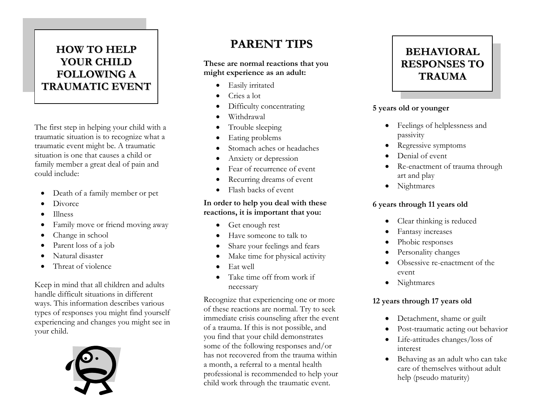### **HOW TO HELP YOUR CHILD FOLLOWING A TRAUMATIC EVENT**

The first step in helping your child with a traumatic situation is to recognize what a traumatic event might be. A traumatic situation is one that causes a child or family member a great deal of pain and could include:

- Death of a family member or pet
- **Divorce**
- Illness
- Family move or friend moving away
- Change in school
- Parent loss of a job
- Natural disaster
- Threat of violence

Keep in mind that all children and adults handle difficult situations in different ways. This information describes various types of responses you might find yourself experiencing and changes you might see in your child.



## **PARENT TIPS**

#### **These are normal reactions that you might experience as an adult:**

- Easily irritated
- Cries a lot
- Difficulty concentrating
- Withdrawal
- Trouble sleeping
- Eating problems
- Stomach aches or headaches
- Anxiety or depression
- Fear of recurrence of event
- Recurring dreams of event
- Flash backs of event

#### **In order to help you deal with these reactions, it is important that you:**

- Get enough rest
- Have someone to talk to
- Share your feelings and fears
- Make time for physical activity
- Eat well
- Take time off from work if necessary

Recognize that experiencing one or more of these reactions are normal. Try to seek immediate crisis counseling after the event of a trauma. If this is not possible, and you find that your child demonstrates some of the following responses and/or has not recovered from the trauma within a month, a referral to a mental health professional is recommended to help your child work through the traumatic event.



#### **5 years old or younger**

- Feelings of helplessness and passivity
- Regressive symptoms
- Denial of event
- Re-enactment of trauma through art and play
- Nightmares

#### **6 years through 11 years old**

- Clear thinking is reduced
- Fantasy increases
- Phobic responses
- Personality changes
- Obsessive re-enactment of the event
- Nightmares

#### **12 years through 17 years old**

- Detachment, shame or guilt
- Post-traumatic acting out behavior
- Life-attitudes changes/loss of interest
- Behaving as an adult who can take care of themselves without adult help (pseudo maturity)